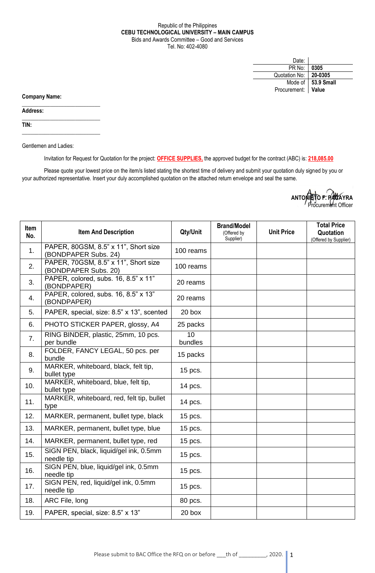## Republic of the Philippines **CEBU TECHNOLOGICAL UNIVERSITY – MAIN CAMPUS** Bids and Awards Committee – Good and Services Tel. No: 402-4080

| Date:         |                    |
|---------------|--------------------|
| PR No:        | 0305               |
| Quotation No: | 20-0305            |
| Mode of       | $\vert$ 53.9 Small |
| Procurement:  | Value              |

**Company Name:**

**Address:** 

**TIN:**

Gentlemen and Ladies:

 $\_$ 

 $\_$ 

\_\_\_\_\_\_\_\_\_\_\_\_\_\_\_\_\_\_\_\_\_\_\_\_\_\_\_\_

Invitation for Request for Quotation for the project: **OFFICE SUPPLIES,** the approved budget for the contract (ABC) is: **218,085.00**

Please quote your lowest price on the item/s listed stating the shortest time of delivery and submit your quotation duly signed by you or your authorized representative. Insert your duly accomplished quotation on the attached return envelope and seal the same.

| ANTONIETO F. PALAYRA |  |
|----------------------|--|
|                      |  |
| Procurement Officer  |  |

| Item<br>No.    | <b>Item And Description</b>                                  | Qty/Unit                   | <b>Brand/Model</b><br>(Offered by<br>Supplier) | <b>Unit Price</b> | <b>Total Price</b><br>Quotation<br>(Offered by Supplier) |
|----------------|--------------------------------------------------------------|----------------------------|------------------------------------------------|-------------------|----------------------------------------------------------|
| 1.             | PAPER, 80GSM, 8.5" x 11", Short size<br>(BONDPAPER Subs. 24) | 100 reams                  |                                                |                   |                                                          |
| 2.             | PAPER, 70GSM, 8.5" x 11", Short size<br>(BONDPAPER Subs. 20) | 100 reams                  |                                                |                   |                                                          |
| 3.             | PAPER, colored, subs. 16, 8.5" x 11"<br>(BONDPAPER)          | 20 reams                   |                                                |                   |                                                          |
| 4.             | PAPER, colored, subs. 16, 8.5" x 13"<br>(BONDPAPER)          | 20 reams                   |                                                |                   |                                                          |
| 5.             | PAPER, special, size: 8.5" x 13", scented                    | 20 box                     |                                                |                   |                                                          |
| 6.             | PHOTO STICKER PAPER, glossy, A4                              | 25 packs                   |                                                |                   |                                                          |
| 7 <sub>1</sub> | RING BINDER, plastic, 25mm, 10 pcs.<br>per bundle            | $\overline{10}$<br>bundles |                                                |                   |                                                          |
| 8.             | FOLDER, FANCY LEGAL, 50 pcs. per<br>bundle                   | 15 packs                   |                                                |                   |                                                          |
| 9.             | MARKER, whiteboard, black, felt tip,<br>bullet type          | 15 pcs.                    |                                                |                   |                                                          |
| 10.            | MARKER, whiteboard, blue, felt tip,<br>bullet type           | 14 pcs.                    |                                                |                   |                                                          |
| 11.            | MARKER, whiteboard, red, felt tip, bullet<br>type            | 14 pcs.                    |                                                |                   |                                                          |
| 12.            | MARKER, permanent, bullet type, black                        | 15 pcs.                    |                                                |                   |                                                          |
| 13.            | MARKER, permanent, bullet type, blue                         | 15 pcs.                    |                                                |                   |                                                          |
| 14.            | MARKER, permanent, bullet type, red                          | 15 pcs.                    |                                                |                   |                                                          |
| 15.            | SIGN PEN, black, liquid/gel ink, 0.5mm<br>needle tip         | 15 pcs.                    |                                                |                   |                                                          |
| 16.            | SIGN PEN, blue, liquid/gel ink, 0.5mm<br>needle tip          | 15 pcs.                    |                                                |                   |                                                          |
| 17.            | SIGN PEN, red, liquid/gel ink, 0.5mm<br>needle tip           | 15 pcs.                    |                                                |                   |                                                          |
| 18.            | ARC File, long                                               | 80 pcs.                    |                                                |                   |                                                          |
| 19.            | PAPER, special, size: 8.5" x 13"                             | 20 box                     |                                                |                   |                                                          |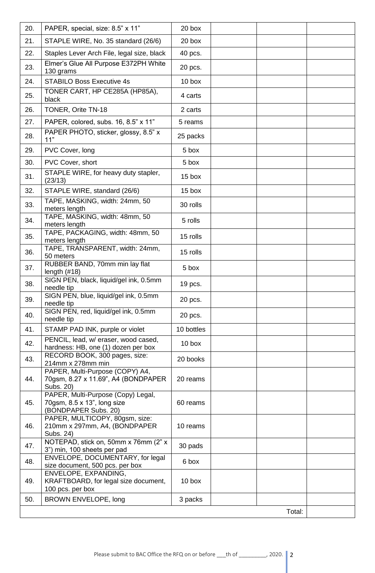| 20. | PAPER, special, size: 8.5" x 11"                                                          | 20 box     |  |  |  |  |
|-----|-------------------------------------------------------------------------------------------|------------|--|--|--|--|
| 21. | STAPLE WIRE, No. 35 standard (26/6)                                                       | 20 box     |  |  |  |  |
| 22. | Staples Lever Arch File, legal size, black                                                | 40 pcs.    |  |  |  |  |
| 23. | Elmer's Glue All Purpose E372PH White<br>130 grams                                        | 20 pcs.    |  |  |  |  |
| 24. | <b>STABILO Boss Executive 4s</b>                                                          | 10 box     |  |  |  |  |
| 25. | TONER CART, HP CE285A (HP85A),<br>black                                                   | 4 carts    |  |  |  |  |
| 26. | TONER, Orite TN-18                                                                        | 2 carts    |  |  |  |  |
| 27. | PAPER, colored, subs. 16, 8.5" x 11"                                                      | 5 reams    |  |  |  |  |
| 28. | PAPER PHOTO, sticker, glossy, 8.5" x<br>11"                                               | 25 packs   |  |  |  |  |
| 29. | PVC Cover, long                                                                           | 5 box      |  |  |  |  |
| 30. | PVC Cover, short                                                                          | 5 box      |  |  |  |  |
| 31. | STAPLE WIRE, for heavy duty stapler,<br>(23/13)                                           | 15 box     |  |  |  |  |
| 32. | STAPLE WIRE, standard (26/6)                                                              | 15 box     |  |  |  |  |
| 33. | TAPE, MASKING, width: 24mm, 50<br>meters length                                           | 30 rolls   |  |  |  |  |
| 34. | TAPE, MASKING, width: 48mm, 50<br>meters length                                           | 5 rolls    |  |  |  |  |
| 35. | TAPE, PACKAGING, width: 48mm, 50<br>meters length                                         | 15 rolls   |  |  |  |  |
| 36. | TAPE, TRANSPARENT, width: 24mm,<br>50 meters                                              | 15 rolls   |  |  |  |  |
| 37. | RUBBER BAND, 70mm min lay flat<br>length $(H18)$                                          | 5 box      |  |  |  |  |
| 38. | SIGN PEN, black, liquid/gel ink, 0.5mm<br>needle tip                                      | 19 pcs.    |  |  |  |  |
| 39. | SIGN PEN, blue, liquid/gel ink, 0.5mm<br>needle tip                                       | 20 pcs.    |  |  |  |  |
| 40. | SIGN PEN, red, liquid/gel ink, 0.5mm<br>needle tip                                        | 20 pcs.    |  |  |  |  |
| 41. | STAMP PAD INK, purple or violet                                                           | 10 bottles |  |  |  |  |
| 42. | PENCIL, lead, w/ eraser, wood cased,<br>hardness: HB, one (1) dozen per box               | 10 box     |  |  |  |  |
| 43. | RECORD BOOK, 300 pages, size:<br>214mm x 278mm min                                        | 20 books   |  |  |  |  |
| 44. | PAPER, Multi-Purpose (COPY) A4,<br>70gsm, 8.27 x 11.69", A4 (BONDPAPER<br>Subs. 20)       | 20 reams   |  |  |  |  |
| 45. | PAPER, Multi-Purpose (Copy) Legal,<br>70gsm, 8.5 x 13", long size<br>(BONDPAPER Subs. 20) | 60 reams   |  |  |  |  |
| 46. | PAPER, MULTICOPY, 80gsm, size:<br>210mm x 297mm, A4, (BONDPAPER<br>Subs. 24)              | 10 reams   |  |  |  |  |
| 47. | NOTEPAD, stick on, 50mm x 76mm (2" x<br>3") min, 100 sheets per pad                       | 30 pads    |  |  |  |  |
| 48. | ENVELOPE, DOCUMENTARY, for legal<br>size document, 500 pcs. per box                       | 6 box      |  |  |  |  |
| 49. | ENVELOPE, EXPANDING,<br>KRAFTBOARD, for legal size document,<br>100 pcs. per box          | 10 box     |  |  |  |  |
| 50. | BROWN ENVELOPE, long                                                                      | 3 packs    |  |  |  |  |
|     | Total:                                                                                    |            |  |  |  |  |